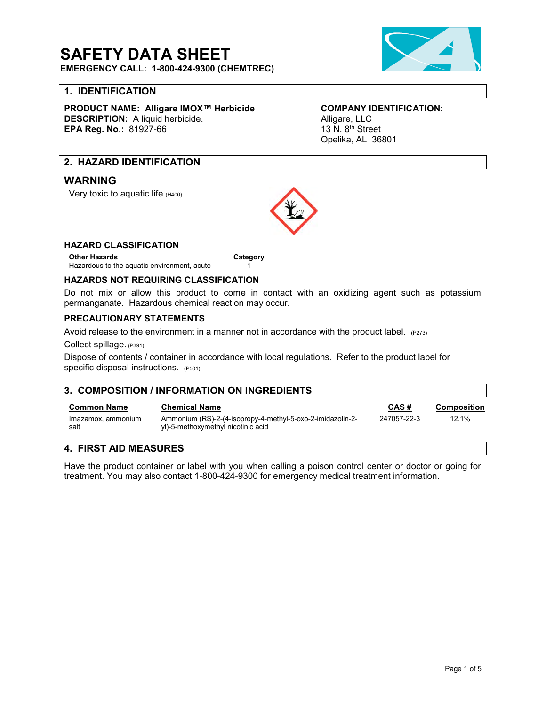## **SAFETY DATA SHEET**

**EMERGENCY CALL: 1-800-424-9300 (CHEMTREC)**

#### **1. IDENTIFICATION**

**PRODUCT NAME: Alligare IMOX™ Herbicide COMPANY IDENTIFICATION: DESCRIPTION:** A liquid herbicide.<br> **EPA Req. No.:** 81927-66 **Alligare, LLC** 13 N. 8<sup>th</sup> Street **EPA Reg. No.: 81927-66** 

# Opelika, AL 36801

#### **2. HAZARD IDENTIFICATION**

#### **WARNING**

Very toxic to aquatic life (H400)



#### **HAZARD CLASSIFICATION**

**Other Hazards Category** Hazardous to the aquatic environment, acute 1

#### **HAZARDS NOT REQUIRING CLASSIFICATION**

Do not mix or allow this product to come in contact with an oxidizing agent such as potassium permanganate. Hazardous chemical reaction may occur.

#### **PRECAUTIONARY STATEMENTS**

Avoid release to the environment in a manner not in accordance with the product label.  $(P273)$ 

Collect spillage. (P391)

Dispose of contents / container in accordance with local regulations. Refer to the product label for specific disposal instructions. (P501)

| 3. COMPOSITION / INFORMATION ON INGREDIENTS |                                                                                                  |             |                    |
|---------------------------------------------|--------------------------------------------------------------------------------------------------|-------------|--------------------|
| <b>Common Name</b>                          | <b>Chemical Name</b>                                                                             | CAS#        | <b>Composition</b> |
| Imazamox, ammonium<br>salt                  | Ammonium (RS)-2-(4-isopropy-4-methyl-5-oxo-2-imidazolin-2-<br>yl)-5-methoxymethyl nicotinic acid | 247057-22-3 | 12.1%              |
| 4 FIRST AID MEASURES                        |                                                                                                  |             |                    |

#### **4. FIRST AID MEASURES**

Have the product container or label with you when calling a poison control center or doctor or going for treatment. You may also contact 1-800-424-9300 for emergency medical treatment information.

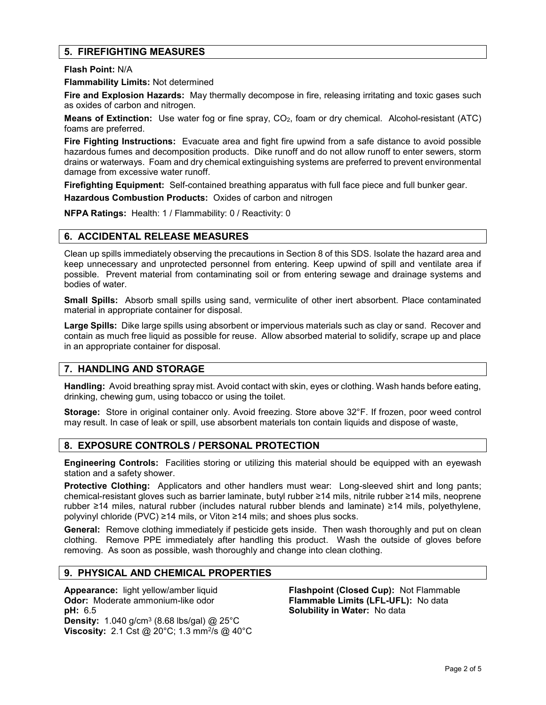#### **5. FIREFIGHTING MEASURES**

**Flash Point:** N/A

**Flammability Limits:** Not determined

**Fire and Explosion Hazards:** May thermally decompose in fire, releasing irritating and toxic gases such as oxides of carbon and nitrogen.

**Means of Extinction:** Use water fog or fine spray, CO2, foam or dry chemical. Alcohol-resistant (ATC) foams are preferred.

**Fire Fighting Instructions:** Evacuate area and fight fire upwind from a safe distance to avoid possible hazardous fumes and decomposition products. Dike runoff and do not allow runoff to enter sewers, storm drains or waterways. Foam and dry chemical extinguishing systems are preferred to prevent environmental damage from excessive water runoff.

**Firefighting Equipment:** Self-contained breathing apparatus with full face piece and full bunker gear.

**Hazardous Combustion Products:** Oxides of carbon and nitrogen

**NFPA Ratings:** Health: 1 / Flammability: 0 / Reactivity: 0

#### **6. ACCIDENTAL RELEASE MEASURES**

Clean up spills immediately observing the precautions in Section 8 of this SDS. Isolate the hazard area and keep unnecessary and unprotected personnel from entering. Keep upwind of spill and ventilate area if possible. Prevent material from contaminating soil or from entering sewage and drainage systems and bodies of water.

**Small Spills:** Absorb small spills using sand, vermiculite of other inert absorbent. Place contaminated material in appropriate container for disposal.

**Large Spills:** Dike large spills using absorbent or impervious materials such as clay or sand. Recover and contain as much free liquid as possible for reuse. Allow absorbed material to solidify, scrape up and place in an appropriate container for disposal.

#### **7. HANDLING AND STORAGE**

**Handling:** Avoid breathing spray mist. Avoid contact with skin, eyes or clothing. Wash hands before eating, drinking, chewing gum, using tobacco or using the toilet.

**Storage:** Store in original container only. Avoid freezing. Store above 32°F. If frozen, poor weed control may result. In case of leak or spill, use absorbent materials ton contain liquids and dispose of waste,

#### **8. EXPOSURE CONTROLS / PERSONAL PROTECTION**

**Engineering Controls:** Facilities storing or utilizing this material should be equipped with an eyewash station and a safety shower.

**Protective Clothing:** Applicators and other handlers must wear: Long-sleeved shirt and long pants; chemical-resistant gloves such as barrier laminate, butyl rubber ≥14 mils, nitrile rubber ≥14 mils, neoprene rubber ≥14 miles, natural rubber (includes natural rubber blends and laminate) ≥14 mils, polyethylene, polyvinyl chloride (PVC) ≥14 mils, or Viton ≥14 mils; and shoes plus socks.

**General:** Remove clothing immediately if pesticide gets inside. Then wash thoroughly and put on clean clothing. Remove PPE immediately after handling this product. Wash the outside of gloves before removing. As soon as possible, wash thoroughly and change into clean clothing.

#### **9. PHYSICAL AND CHEMICAL PROPERTIES**

**Appearance:** light yellow/amber liquid **Flashpoint (Closed Cup):** Not Flammable **pH:** 6.5 **Solubility in Water:** No data **Density:** 1.040 g/cm<sup>3</sup> (8.68 lbs/gal) @ 25°C **Viscosity:** 2.1 Cst @ 20°C; 1.3 mm<sup>2</sup>/s @ 40°C

**Flammable Limits (LFL-UFL):** No data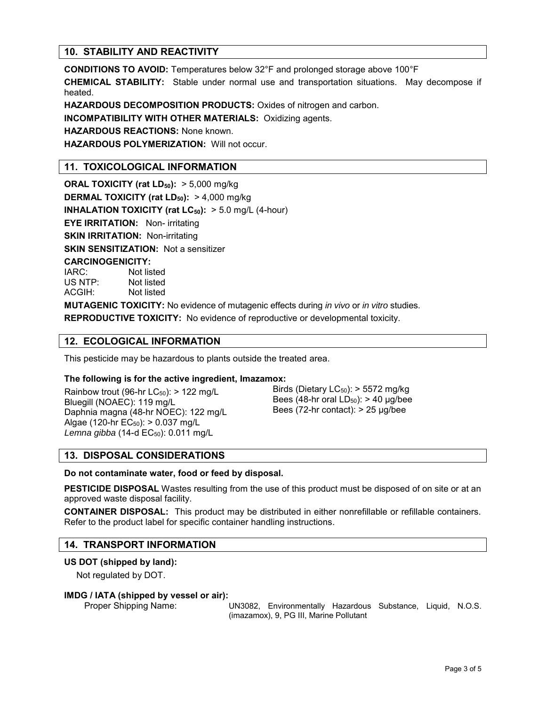#### **10. STABILITY AND REACTIVITY**

**CONDITIONS TO AVOID:** Temperatures below 32°F and prolonged storage above 100°F

**CHEMICAL STABILITY:** Stable under normal use and transportation situations. May decompose if heated.

**HAZARDOUS DECOMPOSITION PRODUCTS:** Oxides of nitrogen and carbon.

**INCOMPATIBILITY WITH OTHER MATERIALS:** Oxidizing agents.

**HAZARDOUS REACTIONS:** None known.

**HAZARDOUS POLYMERIZATION:** Will not occur.

#### **11. TOXICOLOGICAL INFORMATION**

**ORAL TOXICITY (rat LD50):** > 5,000 mg/kg **DERMAL TOXICITY (rat LD50):** > 4,000 mg/kg **INHALATION TOXICITY (rat LC<sub>50</sub>):** > 5.0 mg/L (4-hour) **EYE IRRITATION:** Non- irritating **SKIN IRRITATION: Non-irritating SKIN SENSITIZATION:** Not a sensitizer **CARCINOGENICITY:** IARC: Not listed US NTP: Not listed ACGIH: Not listed

**MUTAGENIC TOXICITY:** No evidence of mutagenic effects during *in vivo* or *in vitro* studies.

**REPRODUCTIVE TOXICITY:** No evidence of reproductive or developmental toxicity.

#### **12. ECOLOGICAL INFORMATION**

This pesticide may be hazardous to plants outside the treated area.

#### **The following is for the active ingredient, Imazamox:**

Rainbow trout (96-hr  $LC_{50}$ ): > 122 mg/L Bluegill (NOAEC): 119 mg/L Daphnia magna (48-hr NOEC): 122 mg/L Algae (120-hr  $EC_{50}$ ): > 0.037 mg/L Lemna gibba (14-d EC<sub>50</sub>): 0.011 mg/L

Birds (Dietary  $LC_{50}$ ): > 5572 mg/kg Bees (48-hr oral  $LD_{50}$ ): > 40  $\mu$ g/bee Bees (72-hr contact):  $> 25 \mu q/bee$ 

#### **13. DISPOSAL CONSIDERATIONS**

#### **Do not contaminate water, food or feed by disposal.**

**PESTICIDE DISPOSAL** Wastes resulting from the use of this product must be disposed of on site or at an approved waste disposal facility.

**CONTAINER DISPOSAL:** This product may be distributed in either nonrefillable or refillable containers. Refer to the product label for specific container handling instructions.

#### **14. TRANSPORT INFORMATION**

#### **US DOT (shipped by land):**

Not regulated by DOT.

#### **IMDG / IATA (shipped by vessel or air):**

Proper Shipping Name: UN3082, Environmentally Hazardous Substance, Liquid, N.O.S. (imazamox), 9, PG III, Marine Pollutant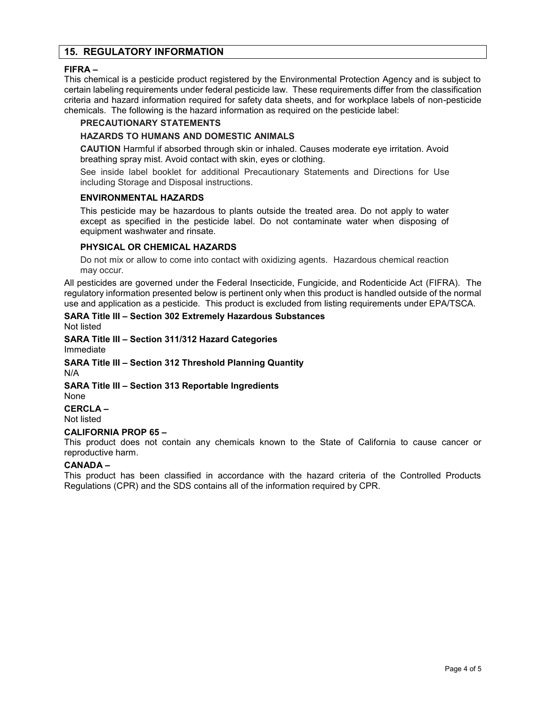#### **15. REGULATORY INFORMATION**

#### **FIFRA –**

This chemical is a pesticide product registered by the Environmental Protection Agency and is subject to certain labeling requirements under federal pesticide law. These requirements differ from the classification criteria and hazard information required for safety data sheets, and for workplace labels of non-pesticide chemicals. The following is the hazard information as required on the pesticide label:

#### **PRECAUTIONARY STATEMENTS**

#### **HAZARDS TO HUMANS AND DOMESTIC ANIMALS**

**CAUTION** Harmful if absorbed through skin or inhaled. Causes moderate eye irritation. Avoid breathing spray mist. Avoid contact with skin, eyes or clothing.

See inside label booklet for additional Precautionary Statements and Directions for Use including Storage and Disposal instructions.

#### **ENVIRONMENTAL HAZARDS**

This pesticide may be hazardous to plants outside the treated area. Do not apply to water except as specified in the pesticide label. Do not contaminate water when disposing of equipment washwater and rinsate.

#### **PHYSICAL OR CHEMICAL HAZARDS**

Do not mix or allow to come into contact with oxidizing agents. Hazardous chemical reaction may occur.

All pesticides are governed under the Federal Insecticide, Fungicide, and Rodenticide Act (FIFRA). The regulatory information presented below is pertinent only when this product is handled outside of the normal use and application as a pesticide. This product is excluded from listing requirements under EPA/TSCA.

### **SARA Title III – Section 302 Extremely Hazardous Substances**

Not listed

#### **SARA Title III – Section 311/312 Hazard Categories** Immediate

**SARA Title III – Section 312 Threshold Planning Quantity** N/A

**SARA Title III – Section 313 Reportable Ingredients** None

**CERCLA –** Not listed

#### **CALIFORNIA PROP 65 –**

This product does not contain any chemicals known to the State of California to cause cancer or reproductive harm.

#### **CANADA –**

This product has been classified in accordance with the hazard criteria of the Controlled Products Regulations (CPR) and the SDS contains all of the information required by CPR.